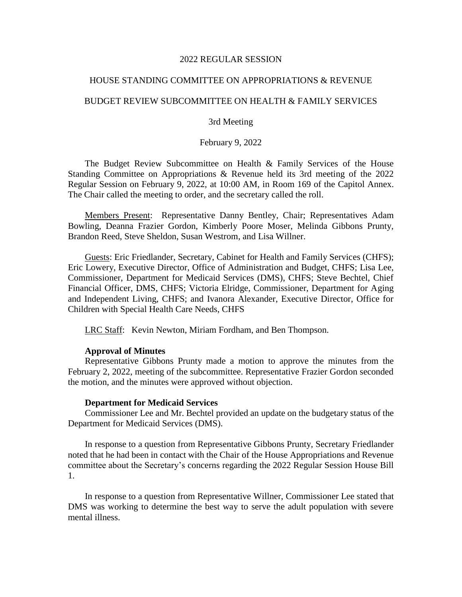### 2022 REGULAR SESSION

# HOUSE STANDING COMMITTEE ON APPROPRIATIONS & REVENUE

# BUDGET REVIEW SUBCOMMITTEE ON HEALTH & FAMILY SERVICES

# 3rd Meeting

# February 9, 2022

The Budget Review Subcommittee on Health & Family Services of the House Standing Committee on Appropriations & Revenue held its 3rd meeting of the 2022 Regular Session on February 9, 2022, at 10:00 AM, in Room 169 of the Capitol Annex. The Chair called the meeting to order, and the secretary called the roll.

Members Present: Representative Danny Bentley, Chair; Representatives Adam Bowling, Deanna Frazier Gordon, Kimberly Poore Moser, Melinda Gibbons Prunty, Brandon Reed, Steve Sheldon, Susan Westrom, and Lisa Willner.

Guests: Eric Friedlander, Secretary, Cabinet for Health and Family Services (CHFS); Eric Lowery, Executive Director, Office of Administration and Budget, CHFS; Lisa Lee, Commissioner, Department for Medicaid Services (DMS), CHFS; Steve Bechtel, Chief Financial Officer, DMS, CHFS; Victoria Elridge, Commissioner, Department for Aging and Independent Living, CHFS; and Ivanora Alexander, Executive Director, Office for Children with Special Health Care Needs, CHFS

LRC Staff: Kevin Newton, Miriam Fordham, and Ben Thompson.

### **Approval of Minutes**

Representative Gibbons Prunty made a motion to approve the minutes from the February 2, 2022, meeting of the subcommittee. Representative Frazier Gordon seconded the motion, and the minutes were approved without objection.

#### **Department for Medicaid Services**

Commissioner Lee and Mr. Bechtel provided an update on the budgetary status of the Department for Medicaid Services (DMS).

In response to a question from Representative Gibbons Prunty, Secretary Friedlander noted that he had been in contact with the Chair of the House Appropriations and Revenue committee about the Secretary's concerns regarding the 2022 Regular Session House Bill 1.

In response to a question from Representative Willner, Commissioner Lee stated that DMS was working to determine the best way to serve the adult population with severe mental illness.